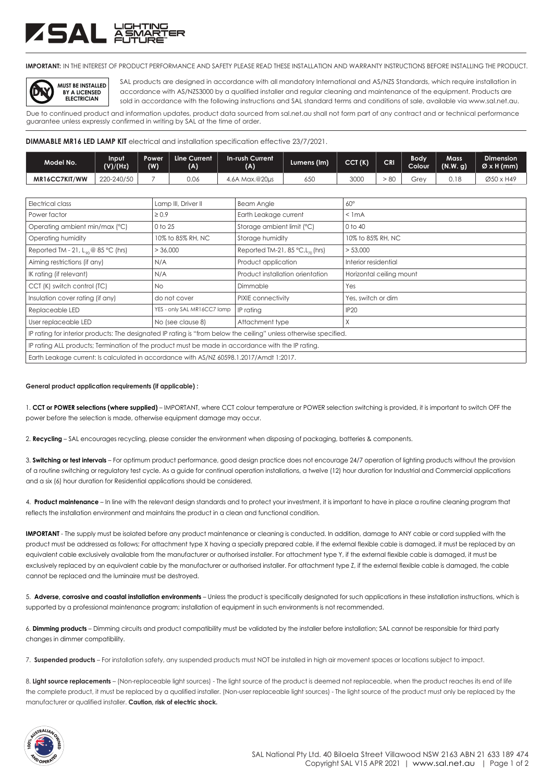## ZSAL &

**IMPORTANT:** IN THE INTEREST OF PRODUCT PERFORMANCE AND SAFETY PLEASE READ THESE INSTALLATION AND WARRANTY INSTRUCTIONS BEFORE INSTALLING THE PRODUCT.



SAL products are designed in accordance with all mandatory International and AS/NZS Standards, which require installation in accordance with AS/NZS3000 by a qualified installer and regular cleaning and maintenance of the equipment. Products are sold in accordance with the following instructions and SAL standard terms and conditions of sale, available via www.sal.net.au.

Due to continued product and information updates, product data sourced from sal.net.au shall not form part of any contract and or technical performance guarantee unless expressly confirmed in writing by SAL at the time of order.

**DIMMABLE MR16 LED LAMP KIT** electrical and installation specification effective 23/7/2021.

| Model No.     | Input<br>(V)/(Hz) | Power<br>(W) | Line Current<br>(A) | <b>In-rush Current</b><br>(A) | Lumens (lm) | CCT(K) | CRI | Bodv<br><b>Colour</b> | Mass<br>(N.W. g) | <b>Dimension</b><br>ØxH(mm) |
|---------------|-------------------|--------------|---------------------|-------------------------------|-------------|--------|-----|-----------------------|------------------|-----------------------------|
| MR16CC7KIT/WW | 220-240/50        |              | 0.06                | $Max.@20\mu s$<br>4.6A        | 650<br>ಀಀ   | 3000   | 80  | -re                   | U. I (           | Ø50 x H49                   |

| Electrical class                                                                                                  | Lamp III, Driver II         | <b>Beam Angle</b>                               | $60^\circ$               |  |  |  |
|-------------------------------------------------------------------------------------------------------------------|-----------------------------|-------------------------------------------------|--------------------------|--|--|--|
|                                                                                                                   |                             |                                                 |                          |  |  |  |
| Power factor                                                                                                      | $\geq 0.9$                  | Earth Leakage current                           | $<$ 1 mA                 |  |  |  |
| Operating ambient min/max (°C)                                                                                    | 0 to 25                     | Storage ambient limit (°C)                      | $0$ to $40$              |  |  |  |
| Operating humidity                                                                                                | 10% to 85% RH, NC           | Storage humidity                                | 10% to 85% RH, NC        |  |  |  |
| Reported TM - 21, $L_{\infty}$ @ 85 °C (hrs)                                                                      | > 36,000                    | Reported TM-21, 85 $°C$ , L <sub>70</sub> (hrs) | > 53,000                 |  |  |  |
| Aiming restrictions (if any)                                                                                      | N/A                         | Product application                             | Interior residential     |  |  |  |
| IK rating (if relevant)                                                                                           | N/A                         | Product installation orientation                | Horizontal ceiling mount |  |  |  |
| CCT (K) switch control (TC)                                                                                       | No.                         | Dimmable                                        | Yes                      |  |  |  |
| Insulation cover rating (if any)                                                                                  | do not cover                | PIXIE connectivity                              | Yes, switch or dim       |  |  |  |
| Replaceable LED                                                                                                   | YES - only SAL MR16CC7 lamp | IP rating                                       | <b>IP20</b>              |  |  |  |
| User replaceable LED                                                                                              | No (see clause 8)           | Attachment type                                 | Χ                        |  |  |  |
| IP rating for interior products: The designated IP rating is "from below the ceiling" unless otherwise specified. |                             |                                                 |                          |  |  |  |
| IP rating ALL products; Termination of the product must be made in accordance with the IP rating.                 |                             |                                                 |                          |  |  |  |
| Earth Leakage current: Is calculated in accordance with AS/NZ 60598.1.2017/Amdt 1:2017.                           |                             |                                                 |                          |  |  |  |

### **General product application requirements (if applicable) :**

1. **CCT or POWER selections (where supplied)** – IMPORTANT, where CCT colour temperature or POWER selection switching is provided, it is important to switch OFF the power before the selection is made, otherwise equipment damage may occur.

2. **Recycling** – SAL encourages recycling, please consider the environment when disposing of packaging, batteries & components.

3. **Switching or test intervals** – For optimum product performance, good design practice does not encourage 24/7 operation of lighting products without the provision of a routine switching or regulatory test cycle. As a guide for continual operation installations, a twelve (12) hour duration for Industrial and Commercial applications and a six (6) hour duration for Residential applications should be considered.

4. **Product maintenance** – In line with the relevant design standards and to protect your investment, it is important to have in place a routine cleaning program that reflects the installation environment and maintains the product in a clean and functional condition.

**IMPORTANT** - The supply must be isolated before any product maintenance or cleaning is conducted. In addition, damage to ANY cable or cord supplied with the product must be addressed as follows; For attachment type X having a specially prepared cable, if the external flexible cable is damaged, it must be replaced by an equivalent cable exclusively available from the manufacturer or authorised installer. For attachment type Y, if the external flexible cable is damaged, it must be exclusively replaced by an equivalent cable by the manufacturer or authorised installer. For attachment type Z, if the external flexible cable is damaged, the cable cannot be replaced and the luminaire must be destroyed.

5. **Adverse, corrosive and coastal installation environments** – Unless the product is specifically designated for such applications in these installation instructions, which is supported by a professional maintenance program; installation of equipment in such environments is not recommended.

6. **Dimming products** – Dimming circuits and product compatibility must be validated by the installer before installation; SAL cannot be responsible for third party changes in dimmer compatibility.

7. **Suspended products** – For installation safety, any suspended products must NOT be installed in high air movement spaces or locations subject to impact.

8. **Light source replacements** – (Non-replaceable light sources) - The light source of the product is deemed not replaceable, when the product reaches its end of life the complete product, it must be replaced by a qualified installer. (Non-user replaceable light sources) - The light source of the product must only be replaced by the manufacturer or qualified installer. **Caution, risk of electric shock.**